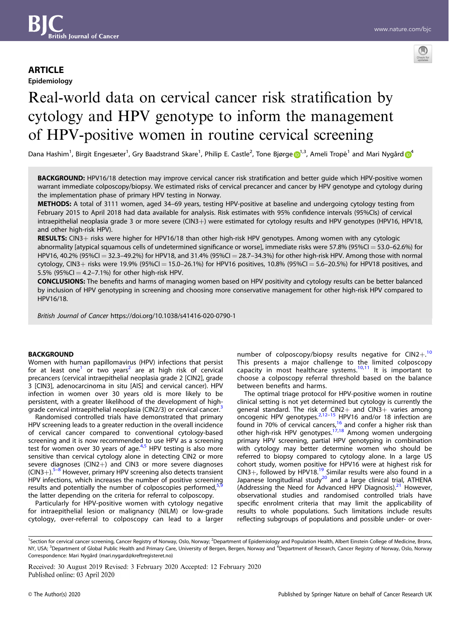# **ARTICLE**

Epidemiology



# Real-world data on cervical cancer risk stratification by cytology and HPV genotype to inform the management of HPV-positive women in routine cervical screening

Dana Hashim<sup>[1](http://orcid.org/0000-0002-9096-5257)</sup>, Birgit Engesæter<sup>1</sup>, Gry Baa[d](http://orcid.org/0000-0002-4100-4855)strand Skare<sup>1</sup>, Philip E. Castle<sup>2</sup>, Tone Bjørge D<sup>1,3</sup>, Ameli Tropé<sup>1</sup> and Mari Nygård D<sup>[4](http://orcid.org/0000-0002-4100-4855)</sup>

BACKGROUND: HPV16/18 detection may improve cervical cancer risk stratification and better guide which HPV-positive women warrant immediate colposcopy/biopsy. We estimated risks of cervical precancer and cancer by HPV genotype and cytology during the implementation phase of primary HPV testing in Norway.

METHODS: A total of 3111 women, aged 34–69 years, testing HPV-positive at baseline and undergoing cytology testing from February 2015 to April 2018 had data available for analysis. Risk estimates with 95% confidence intervals (95%CIs) of cervical intraepithelial neoplasia grade 3 or more severe (CIN3+) were estimated for cytology results and HPV genotypes (HPV16, HPV18, and other high-risk HPV).

RESULTS: CIN3+ risks were higher for HPV16/18 than other high-risk HPV genotypes. Among women with any cytologic abnormality [atypical squamous cells of undetermined significance or worse], immediate risks were 57.8% (95%CI = 53.0–62.6%) for HPV16, 40.2% (95%CI = 32.3–49.2%) for HPV18, and 31.4% (95%CI = 28.7–34.3%) for other high-risk HPV. Among those with normal cytology, CIN3+ risks were 19.9% (95%CI = 15.0-26.1%) for HPV16 positives, 10.8% (95%CI = 5.6-20.5%) for HPV18 positives, and 5.5% (95%CI = 4.2-7.1%) for other high-risk HPV.

CONCLUSIONS: The benefits and harms of managing women based on HPV positivity and cytology results can be better balanced by inclusion of HPV genotyping in screening and choosing more conservative management for other high-risk HPV compared to HPV16/18.

British Journal of Cancer https://doi.org/10.1038/s41416-020-0790-1

#### **BACKGROUND**

Women with human papillomavirus (HPV) infections that persist for at least one<sup>[1](#page-7-0)</sup> or two years<sup>2</sup> are at high risk of cervical precancers (cervical intraepithelial neoplasia grade 2 [CIN2], grade 3 [CIN3], adenocarcinoma in situ [AIS] and cervical cancer). HPV infection in women over 30 years old is more likely to be persistent, with a greater likelihood of the development of high-grade cervical intraepithelial neoplasia (CIN2/[3](#page-7-0)) or cervical cancer.<sup>3</sup>

Randomised controlled trials have demonstrated that primary HPV screening leads to a greater reduction in the overall incidence of cervical cancer compared to conventional cytology-based screening and it is now recommended to use HPV as a screening test for women over 30 years of age. $4.5$  HPV testing is also more sensitive than cervical cytology alone in detecting CIN2 or more severe diagnoses (CIN2+) and CIN3 or more severe diagnoses  $(CIN3+)$ .<sup>[5](#page-7-0)–[8](#page-7-0)</sup> However, primary HPV screening also detects transient HPV infections, which increases the number of positive screening results and potentially the number of colposcopies performed,<sup>[5](#page-7-0)</sup> the latter depending on the criteria for referral to colposcopy.

Particularly for HPV-positive women with cytology negative for intraepithelial lesion or malignancy (NILM) or low-grade cytology, over-referral to colposcopy can lead to a larger number of colposcopy/biopsy results negative for  $CIN2+10$  $CIN2+10$ This presents a major challenge to the limited colposcopy capacity in most healthcare systems. $10,11$  $10,11$  $10,11$  It is important to choose a colposcopy referral threshold based on the balance between benefits and harms.

The optimal triage protocol for HPV-positive women in routine clinical setting is not yet determined but cytology is currently the general standard. The risk of CIN2+ and CIN3+ varies among<br>oncogenic HPV genotypes.<sup>[2,12](#page-7-0)–[15](#page-7-0)</sup> HPV16 and/or 18 infection are found in 70% of cervical cancers,<sup>[16](#page-7-0)</sup> and confer a higher risk than other high-risk HPV genotypes.<sup>[17,18](#page-7-0)</sup> Among women undergoing primary HPV screening, partial HPV genotyping in combination with cytology may better determine women who should be referred to biopsy compared to cytology alone. In a large US cohort study, women positive for HPV16 were at highest risk for CIN3+, followed by HPV18.<sup>[19](#page-7-0)</sup> Similar results were also found in a Japanese longitudinal study<sup>[20](#page-7-0)</sup> and a large clinical trial, ATHENA (Addressing the Need for Advanced HPV Diagnosis). $^{21}$  $^{21}$  $^{21}$  However, observational studies and randomised controlled trials have specific enrolment criteria that may limit the applicability of results to whole populations. Such limitations include results reflecting subgroups of populations and possible under- or over-

Received: 30 August 2019 Revised: 3 February 2020 Accepted: 12 February 2020

<sup>&</sup>lt;sup>1</sup>Section for cervical cancer screening, Cancer Registry of Norway, Oslo, Norway; <sup>2</sup>Department of Epidemiology and Population Health, Albert Einstein College of Medicine, Bronx, NY, USA; <sup>3</sup>Department of Global Public Health and Primary Care, University of Bergen, Bergen, Norway and <sup>4</sup>Department of Research, Cancer Registry of Norway, Oslo, Norway Correspondence: Mari Nygård [\(mari.nygard@kreftregisteret.no](mailto:mari.nygard@kreftregisteret.no))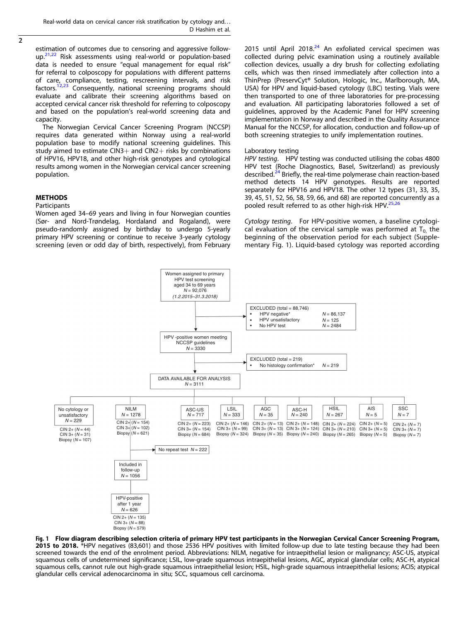<span id="page-1-0"></span> $\overline{2}$ 

estimation of outcomes due to censoring and aggressive followup.<sup>21,22</sup> Risk assessments using real-world or population-based data is needed to ensure "equal management for equal risk" for referral to colposcopy for populations with different patterns of care, compliance, testing, rescreening intervals, and risk factors.[12,23](#page-7-0) Consequently, national screening programs should evaluate and calibrate their screening algorithms based on accepted cervical cancer risk threshold for referring to colposcopy and based on the population's real-world screening data and capacity.

The Norwegian Cervical Cancer Screening Program (NCCSP) requires data generated within Norway using a real-world population base to modify national screening guidelines. This study aimed to estimate  $CIN3+$  and  $CIN2+$  risks by combinations of HPV16, HPV18, and other high-risk genotypes and cytological results among women in the Norwegian cervical cancer screening population.

### **METHODS**

#### **Participants**

Women aged 34–69 years and living in four Norwegian counties (Sør- and Nord-Trøndelag, Hordaland and Rogaland), were pseudo-randomly assigned by birthday to undergo 5-yearly primary HPV screening or continue to receive 3-yearly cytology screening (even or odd day of birth, respectively), from February 2015 until April 2018. $24$  An exfoliated cervical specimen was collected during pelvic examination using a routinely available collection devices, usually a dry brush for collecting exfoliating cells, which was then rinsed immediately after collection into a ThinPrep (PreservCyt® Solution, Hologic, Inc., Marlborough, MA, USA) for HPV and liquid-based cytology (LBC) testing. Vials were then transported to one of three laboratories for pre-processing and evaluation. All participating laboratories followed a set of guidelines, approved by the Academic Panel for HPV screening implementation in Norway and described in the Quality Assurance Manual for the NCCSP, for allocation, conduction and follow-up of both screening strategies to unify implementation routines.

#### Laboratory testing

HPV testing. HPV testing was conducted utilising the cobas 4800 HPV test (Roche Diagnostics, Basel, Switzerland) as previously described.<sup>[24](#page-7-0)</sup> Briefly, the real-time polymerase chain reaction-based method detects 14 HPV genotypes. Results are reported separately for HPV16 and HPV18. The other 12 types (31, 33, 35, 39, 45, 51, 52, 56, 58, 59, 66, and 68) are reported concurrently as a pooled result referred to as other high-risk HPV. $25,26$  $25,26$  $25,26$ 

Cytology testing. For HPV-positive women, a baseline cytological evaluation of the cervical sample was performed at  $T_0$  the beginning of the observation period for each subject (Supplementary Fig. 1). Liquid-based cytology was reported according



Fig. 1 Flow diagram describing selection criteria of primary HPV test participants in the Norwegian Cervical Cancer Screening Program,<br>2015 to 2018. \*HPV negatives (83,601) and those 2536 HPV positives with limited followscreened towards the end of the enrolment period. Abbreviations: NILM, negative for intraepithelial lesion or malignancy; ASC-US, atypical squamous cells of undetermined significance; LSIL, low-grade squamous intraepithelial lesions, AGC, atypical glandular cells; ASC-H, atypical squamous cells, cannot rule out high-grade squamous intraepithelial lesion; HSIL, high-grade squamous intraepithelial lesions; ACIS; atypical glandular cells cervical adenocarcinoma in situ; SCC, squamous cell carcinoma.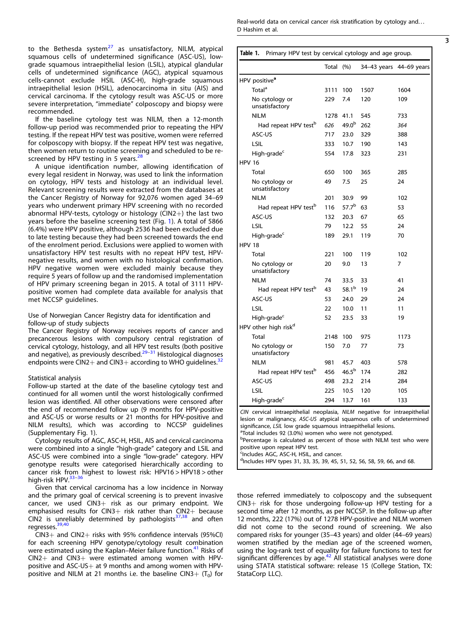<span id="page-2-0"></span>to the Bethesda system $^{27}$  $^{27}$  $^{27}$  as unsatisfactory, NILM, atypical squamous cells of undetermined significance (ASC-US), lowgrade squamous intraepithelial lesion (LSIL), atypical glandular cells of undetermined significance (AGC), atypical squamous cells-cannot exclude HSIL (ASC-H), high-grade squamous intraepithelial lesion (HSIL), adenocarcinoma in situ (AIS) and cervical carcinoma. If the cytology result was ASC-US or more severe interpretation, "immediate" colposcopy and biopsy were recommended.

If the baseline cytology test was NILM, then a 12-month follow-up period was recommended prior to repeating the HPV testing. If the repeat HPV test was positive, women were referred for colposcopy with biopsy. If the repeat HPV test was negative, then women return to routine screening and scheduled to be re-screened by HPV testing in 5 years.<sup>[28](#page-7-0)</sup>

A unique identification number, allowing identification of every legal resident in Norway, was used to link the information on cytology, HPV tests and histology at an individual level. Relevant screening results were extracted from the databases at the Cancer Registry of Norway for 92,076 women aged 34–69 years who underwent primary HPV screening with no recorded abnormal HPV-tests, cytology or histology ( $CIN2+$ ) the last two years before the baseline screening test (Fig. [1](#page-1-0)). A total of 5866 (6.4%) were HPV positive, although 2536 had been excluded due to late testing because they had been screened towards the end of the enrolment period. Exclusions were applied to women with unsatisfactory HPV test results with no repeat HPV test, HPVnegative results, and women with no histological confirmation. HPV negative women were excluded mainly because they require 5 years of follow up and the randomised implementation of HPV primary screening began in 2015. A total of 3111 HPVpositive women had complete data available for analysis that met NCCSP guidelines.

Use of Norwegian Cancer Registry data for identification and follow-up of study subjects

The Cancer Registry of Norway receives reports of cancer and precancerous lesions with compulsory central registration of cervical cytology, histology, and all HPV test results (both positive and negative), as previously described.[29](#page-7-0)–[31](#page-7-0) Histological diagnoses endpoints were CIN2+ and CIN3+ according to WHO guidelines.<sup>[32](#page-7-0)</sup>

#### Statistical analysis

Follow-up started at the date of the baseline cytology test and continued for all women until the worst histologically confirmed lesion was identified. All other observations were censored after the end of recommended follow up (9 months for HPV-positive and ASC-US or worse results or 21 months for HPV-positive and NILM results), which was according to NCCSP guidelines (Supplementary Fig. 1).

Cytology results of AGC, ASC-H, HSIL, AIS and cervical carcinoma were combined into a single "high-grade" category and LSIL and ASC-US were combined into a single "low-grade" category. HPV genotype results were categorised hierarchically according to cancer risk from highest to lowest risk: HPV16 > HPV18 > other high-risk HPV. [33](#page-7-0)-[36](#page-7-0)

Given that cervical carcinoma has a low incidence in Norway and the primary goal of cervical screening is to prevent invasive cancer, we used  $CIN3+$  risk as our primary endpoint. We emphasised results for  $CIN3+$  risk rather than  $CIN2+$  because CIN2 is unreliably determined by pathologists $37,38$  $37,38$  $37,38$  and often regresses.<sup>[39](#page-7-0),[40](#page-7-0)</sup>

CIN3+ and CIN2+ risks with 95% confidence intervals (95%CI) for each screening HPV genotype/cytology result combination were estimated using the Kaplan–Meier failure function.<sup>[41](#page-7-0)</sup> Risks of CIN2+ and CIN3+ were estimated among women with HPVpositive and ASC-US+ at 9 months and among women with HPVpositive and NILM at 21 months i.e. the baseline CIN3+  $(T_0)$  for Real-world data on cervical cancer risk stratification by cytology and. . . D Hashim et al.

|                                                                                                                                                                                                                                                                                                                                                                                                                   | Total | (%)               |      | 34-43 years 44-69 years |
|-------------------------------------------------------------------------------------------------------------------------------------------------------------------------------------------------------------------------------------------------------------------------------------------------------------------------------------------------------------------------------------------------------------------|-------|-------------------|------|-------------------------|
| HPV positive <sup>a</sup>                                                                                                                                                                                                                                                                                                                                                                                         |       |                   |      |                         |
| Total <sup>a</sup>                                                                                                                                                                                                                                                                                                                                                                                                | 3111  | 100               | 1507 | 1604                    |
| No cytology or                                                                                                                                                                                                                                                                                                                                                                                                    | 229   | 7.4               | 120  | 109                     |
| unsatisfactory                                                                                                                                                                                                                                                                                                                                                                                                    |       |                   |      |                         |
| <b>NILM</b>                                                                                                                                                                                                                                                                                                                                                                                                       | 1278  | 41.1              | 545  | 733                     |
| Had repeat HPV test <sup>b</sup>                                                                                                                                                                                                                                                                                                                                                                                  | 626   | $49.0^{b}$        | 262  | 364                     |
| ASC-US                                                                                                                                                                                                                                                                                                                                                                                                            | 717   | 23.0              | 329  | 388                     |
| LSIL                                                                                                                                                                                                                                                                                                                                                                                                              | 333   | 10.7              | 190  | 143                     |
| High-grade <sup>c</sup>                                                                                                                                                                                                                                                                                                                                                                                           | 554   | 17.8              | 323  | 231                     |
| <b>HPV 16</b>                                                                                                                                                                                                                                                                                                                                                                                                     |       |                   |      |                         |
| <b>Total</b>                                                                                                                                                                                                                                                                                                                                                                                                      | 650   | 100               | 365  | 285                     |
| No cytology or<br>unsatisfactory                                                                                                                                                                                                                                                                                                                                                                                  | 49    | 7.5               | 25   | 24                      |
| <b>NILM</b>                                                                                                                                                                                                                                                                                                                                                                                                       | 201   | 30.9              | 99   | 102                     |
| Had repeat HPV test <sup>b</sup>                                                                                                                                                                                                                                                                                                                                                                                  | 116   | 57.7 <sup>b</sup> | 63   | 53                      |
| ASC-US                                                                                                                                                                                                                                                                                                                                                                                                            | 132   | 20.3              | 67   | 65                      |
| LSIL                                                                                                                                                                                                                                                                                                                                                                                                              | 79    | 12.2              | 55   | 24                      |
| High-grade <sup>c</sup>                                                                                                                                                                                                                                                                                                                                                                                           | 189   | 29.1              | 119  | 70                      |
| <b>HPV 18</b>                                                                                                                                                                                                                                                                                                                                                                                                     |       |                   |      |                         |
| Total                                                                                                                                                                                                                                                                                                                                                                                                             | 221   | 100               | 119  | 102                     |
| No cytology or<br>unsatisfactory                                                                                                                                                                                                                                                                                                                                                                                  | 20    | 9.0               | 13   | 7                       |
| <b>NILM</b>                                                                                                                                                                                                                                                                                                                                                                                                       | 74    | 33.5              | 33   | 41                      |
| Had repeat HPV test <sup>b</sup>                                                                                                                                                                                                                                                                                                                                                                                  | 43    | $58.1^{b}$        | 19   | 24                      |
| ASC-US                                                                                                                                                                                                                                                                                                                                                                                                            | 53    | 24.0              | 29   | 24                      |
| LSIL                                                                                                                                                                                                                                                                                                                                                                                                              | 22    | 10.0              | 11   | 11                      |
| High-grade <sup>c</sup>                                                                                                                                                                                                                                                                                                                                                                                           | 52    | 23.5              | 33   | 19                      |
| HPV other high risk <sup>d</sup>                                                                                                                                                                                                                                                                                                                                                                                  |       |                   |      |                         |
| <b>Total</b>                                                                                                                                                                                                                                                                                                                                                                                                      | 2148  | 100               | 975  | 1173                    |
| No cytology or<br>unsatisfactory                                                                                                                                                                                                                                                                                                                                                                                  | 150   | 7.0               | 77   | 73                      |
| <b>NILM</b>                                                                                                                                                                                                                                                                                                                                                                                                       | 981   | 45.7              | 403  | 578                     |
| Had repeat HPV test <sup>b</sup>                                                                                                                                                                                                                                                                                                                                                                                  | 456   | $46.5^{b}$        | 174  | 282                     |
| ASC-US                                                                                                                                                                                                                                                                                                                                                                                                            | 498   | 23.2              | 214  | 284                     |
| LSIL                                                                                                                                                                                                                                                                                                                                                                                                              | 225   | 10.5              | 120  | 105                     |
| High-grade <sup>c</sup>                                                                                                                                                                                                                                                                                                                                                                                           | 294   | 13.7              | 161  | 133                     |
| CIN cervical intraepithelial neoplasia, NILM negative for intraepithelial<br>lesion or malignancy, ASC-US atypical squamous cells of undetermined<br>significance, LSIL low grade squamous intraepithelial lesions.<br><sup>a</sup> Total includes 92 (3.0%) women who were not genotyped.<br><sup>b</sup> Percentage is calculated as percent of those with NILM test who were<br>positive upon repeat HPV test. |       |                   |      |                         |

<sup>c</sup>Includes AGC, ASC-H, HSIL, and cancer.

d Includes HPV types 31, 33, 35, 39, 45, 51, 52, 56, 58, 59, 66, and 68.

those referred immediately to colposcopy and the subsequent  $CIN3+$  risk for those undergoing follow-up HPV testing for a second time after 12 months, as per NCCSP. In the follow-up after 12 months, 222 (17%) out of 1278 HPV-positive and NILM women did not come to the second round of screening. We also compared risks for younger (35–43 years) and older (44–69 years) women stratified by the median age of the screened women, using the log-rank test of equality for failure functions to test for significant differences by age. $42$  All statistical analyses were done using STATA statistical software: release 15 (College Station, TX: StataCorp LLC).

3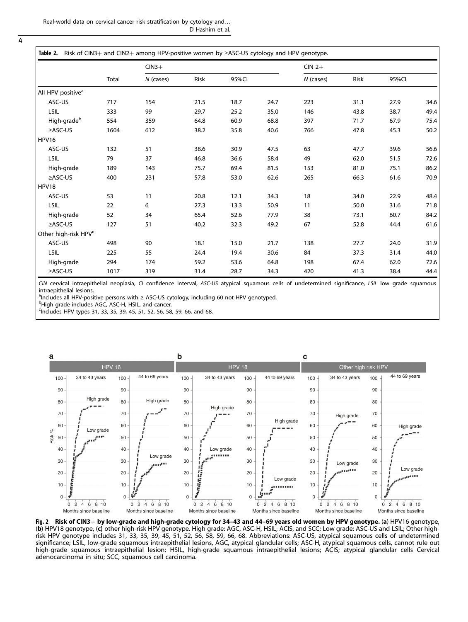<span id="page-3-0"></span> $\overline{4}$ 

|                                  |       | $CIN3+$     |      |       |      | $CIN$ 2+  |      |       |      |
|----------------------------------|-------|-------------|------|-------|------|-----------|------|-------|------|
|                                  | Total | $N$ (cases) | Risk | 95%CI |      | N (cases) | Risk | 95%CI |      |
| All HPV positive <sup>a</sup>    |       |             |      |       |      |           |      |       |      |
| ASC-US                           | 717   | 154         | 21.5 | 18.7  | 24.7 | 223       | 31.1 | 27.9  | 34.6 |
| LSIL                             | 333   | 99          | 29.7 | 25.2  | 35.0 | 146       | 43.8 | 38.7  | 49.4 |
| High-grade <sup>b</sup>          | 554   | 359         | 64.8 | 60.9  | 68.8 | 397       | 71.7 | 67.9  | 75.4 |
| $\geq$ ASC-US                    | 1604  | 612         | 38.2 | 35.8  | 40.6 | 766       | 47.8 | 45.3  | 50.2 |
| <b>HPV16</b>                     |       |             |      |       |      |           |      |       |      |
| ASC-US                           | 132   | 51          | 38.6 | 30.9  | 47.5 | 63        | 47.7 | 39.6  | 56.6 |
| LSIL                             | 79    | 37          | 46.8 | 36.6  | 58.4 | 49        | 62.0 | 51.5  | 72.6 |
| High-grade                       | 189   | 143         | 75.7 | 69.4  | 81.5 | 153       | 81.0 | 75.1  | 86.2 |
| $\geq$ ASC-US                    | 400   | 231         | 57.8 | 53.0  | 62.6 | 265       | 66.3 | 61.6  | 70.9 |
| HPV18                            |       |             |      |       |      |           |      |       |      |
| ASC-US                           | 53    | 11          | 20.8 | 12.1  | 34.3 | 18        | 34.0 | 22.9  | 48.4 |
| <b>LSIL</b>                      | 22    | 6           | 27.3 | 13.3  | 50.9 | 11        | 50.0 | 31.6  | 71.8 |
| High-grade                       | 52    | 34          | 65.4 | 52.6  | 77.9 | 38        | 73.1 | 60.7  | 84.2 |
| ≥ASC-US                          | 127   | 51          | 40.2 | 32.3  | 49.2 | 67        | 52.8 | 44.4  | 61.6 |
| Other high-risk HPV <sup>c</sup> |       |             |      |       |      |           |      |       |      |
| ASC-US                           | 498   | 90          | 18.1 | 15.0  | 21.7 | 138       | 27.7 | 24.0  | 31.9 |
| LSIL                             | 225   | 55          | 24.4 | 19.4  | 30.6 | 84        | 37.3 | 31.4  | 44.0 |
| High-grade                       | 294   | 174         | 59.2 | 53.6  | 64.8 | 198       | 67.4 | 62.0  | 72.6 |
| ≥ASC-US                          | 1017  | 319         | 31.4 | 28.7  | 34.3 | 420       | 41.3 | 38.4  | 44.4 |

CIN cervical intraepithelial neoplasia, CI confidence interval, ASC-US atypical squamous cells of undetermined significance, LSIL low grade squamous intraepithelial lesions.

<sup>a</sup>Includes all HPV-positive persons with ≥ ASC-US cytology, including 60 not HPV genotyped.<br>PHigh arade includes AGC ASC H HSIL and cancer

<sup>b</sup>High grade includes AGC, ASC-H, HSIL, and cancer.

c Includes HPV types 31, 33, 35, 39, 45, 51, 52, 56, 58, 59, 66, and 68.



**Fig. 2 Risk of CIN3**+ **by low-grade and high-grade cytology for 34–43 and 44–69 years old women by HPV genotype. (a)** HPV16 genotype,<br>(**b**) HPV18 genotype, (**c**) other high-risk HPV genotype. High grade: AGC, ASC-H, HSIL risk HPV genotype includes 31, 33, 35, 39, 45, 51, 52, 56, 58, 59, 66, 68. Abbreviations: ASC-US, atypical squamous cells of undetermined significance; LSIL, low-grade squamous intraepithelial lesions, AGC, atypical glandular cells; ASC-H, atypical squamous cells, cannot rule out high-grade squamous intraepithelial lesion; HSIL, high-grade squamous intraepithelial lesions; ACIS; atypical glandular cells Cervical adenocarcinoma in situ; SCC, squamous cell carcinoma.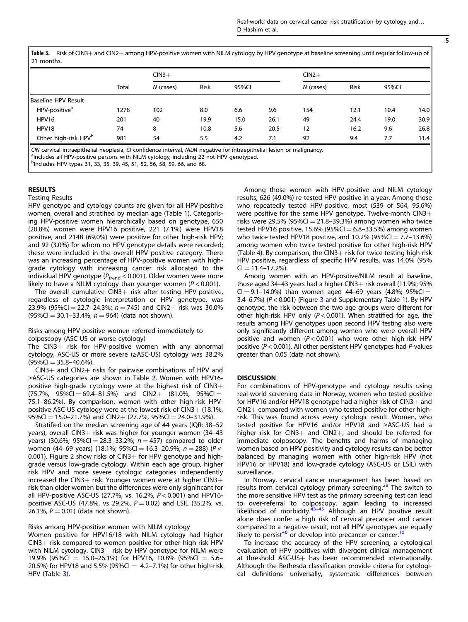Table 3. Risk of CIN3+ and CIN2+ among HPV-positive women with NILM cytology by HPV genotype at baseline screening until regular follow-up of 21 months.

|                                  |       | $CIN3+$     |      |       |      | $CIN2+$   |      |       |      |
|----------------------------------|-------|-------------|------|-------|------|-----------|------|-------|------|
|                                  | Total | $N$ (cases) | Risk | 95%CI |      | N (cases) | Risk | 95%CI |      |
| Baseline HPV Result              |       |             |      |       |      |           |      |       |      |
| HPV-positive <sup>a</sup>        | 1278  | 102         | 8.0  | 6.6   | 9.6  | 154       | 12.1 | 10.4  | 14.0 |
| HPV16                            | 201   | 40          | 19.9 | 15.0  | 26.1 | 49        | 24.4 | 19.0  | 30.9 |
| HPV18                            | 74    | 8           | 10.8 | 5.6   | 20.5 | 12        | 16.2 | 9.6   | 26.8 |
| Other high-risk HPV <sup>b</sup> | 981   | 54          | 5.5  | 4.2   | 7.1  | 92        | 9.4  | 7.7   | 11.4 |

CIN cervical intraepithelial neoplasia, CI confidence interval, NILM negative for intraepithelial lesion or malignancy.

<sup>a</sup>Includes all HPV-positive persons with NILM cytology, including 22 not HPV genotyped.

b<sub>Includes</sub> HPV types 31, 33, 35, 39, 45, 51, 52, 56, 58, 59, 66, and 68.

#### RESULTS

Testing Results

HPV genotype and cytology counts are given for all HPV-positive women, overall and stratified by median age (Table [1](#page-2-0)). Categorising HPV-positive women hierarchically based on genotype, 650 (20.8%) women were HPV16 positive, 221 (7.1%) were HPV18 positive, and 2148 (69.0%) were positive for other high-risk HPV; and 92 (3.0%) for whom no HPV genotype details were recorded; these were included in the overall HPV positive category. There was an increasing percentage of HPV-positive women with highgrade cytology with increasing cancer risk allocated to the individual HPV genotype ( $P_{trend}$  < 0.001). Older women were more likely to have a NILM cytology than younger women  $(P < 0.001)$ .

The overall cumulative  $CIN3+$  risk after testing HPV-positive, regardless of cytologic interpretation or HPV genotype, was 23.9% (95%CI = 22.7-24.3%;  $n = 745$ ) and CIN2+ risk was 30.0%  $(95\%CI = 30.1 - 33.4\%; n = 964)$  (data not shown).

Risks among HPV-positive women referred immediately to colposcopy (ASC-US or worse cytology)

The CIN3+ risk for HPV-positive women with any abnormal cytology, ASC-US or more severe (≥ASC-US) cytology was 38.2%  $(95\%CI = 35.8 - 40.6\%).$ 

 $CIN3+$  and  $CIN2+$  risks for pairwise combinations of HPV and ≥ASC-US categories are shown in Table [2.](#page-3-0) Women with HPV16 positive high-grade cytology were at the highest risk of  $CIN3+$  $(75.7\%$ ,  $95\%$ CI = 69.4–81.5%) and CIN2+  $(81.0\%$ ,  $95\%$ CI = 75.1–86.2%). By comparison, women with other high-risk HPVpositive ASC-US cytology were at the lowest risk of CIN3+ (18.1%, 95%CI = 15.0-21.7%) and CIN2+ (27.7%, 95%CI = 24.0-31.9%).

Stratified on the median screening age of 44 years (IQR: 38–52 years), overall CIN3+ risk was higher for younger women (34-43 years) (30.6%; 95%Cl = 28.3-33.2%;  $n = 457$ ) compared to older women (44–69 years) (18.1%;  $95\%$ Cl = 16.3–20.9%;  $n = 288$ ) (P < 0.001). Figure [2](#page-3-0) show risks of CIN3+ for HPV genotype and highgrade versus low-grade cytology. Within each age group, higher risk HPV and more severe cytologic categories independently increased the CIN3+ risk. Younger women were at higher CIN3+ risk than older women but the differences were only significant for all HPV-positive ASC-US (27.7%, vs. 16.2%, P < 0.001) and HPV16 positive ASC-US (47.8%, vs 29.2%,  $P = 0.02$ ) and LSIL (35.2%, vs. 26.1%,  $P = 0.01$ ) (data not shown).

## Risks among HPV-positive women with NILM cytology

Women positive for HPV16/18 with NILM cytology had higher CIN3+ risk compared to women positive for other high-risk HPV with NILM cytology.  $CIN3+$  risk by HPV genotype for NILM were 19.9% (95%CI = 15.0–26.1%) for HPV16, 10.8% (95%CI = 5.6– 20.5%) for HPV18 and 5.5% (95%CI =  $4.2-7.1$ %) for other high-risk HPV (Table 3).

Among those women with HPV-positive and NILM cytology results, 626 (49.0%) re-tested HPV positive in a year. Among those who repeatedly tested HPV-positive, most (539 of 564, 95.6%) were positive for the same HPV genotype. Twelve-month CIN3+ risks were 29.5% (95%CI  $=$  21.8–39.3%) among women who twice tested HPV16 positive, 15.6% (95%CI  $= 6.8 - 33.5$ %) among women who twice tested HPV18 positive, and 10.2% (95%CI =  $7.7-13.6%$ ) among women who twice tested positive for other high-risk HPV (Table [4\)](#page-5-0). By comparison, the CIN3+ risk for twice testing high-risk HPV positive, regardless of specific HPV results, was 14.0% (95%  $CI = 11.4 - 17.2%$ ).

Among women with an HPV-positive/NILM result at baseline, those aged 34–43 years had a higher CIN3 $+$  risk overall (11.9%; 95%  $Cl = 9.1 - 14.0\%$ ) than women aged 44-69 years (4.8%; 95%Cl = [3](#page-6-0).4–6.7%) ( $P < 0.001$ ) (Figure 3 and Supplementary Table 1). By HPV genotype, the risk between the two age groups were different for other high-risk HPV only ( $P < 0.001$ ). When stratified for age, the results among HPV genotypes upon second HPV testing also were only significantly different among women who were overall HPV positive and women  $(P < 0.001)$  who were other high-risk HPV positive ( $P < 0.001$ ). All other persistent HPV genotypes had  $P$ -values greater than 0.05 (data not shown).

#### **DISCUSSION**

For combinations of HPV-genotype and cytology results using real-world screening data in Norway, women who tested positive for HPV16 and/or HPV18 genotype had a higher risk of CIN3+ and CIN2+ compared with women who tested positive for other highrisk. This was found across every cytologic result. Women, who tested positive for HPV16 and/or HPV18 and ≥ASC-US had a higher risk for CIN3+ and CIN2+, and should be referred for immediate colposcopy. The benefits and harms of managing women based on HPV positivity and cytology results can be better balanced by managing women with other high-risk HPV (not HPV16 or HPV18) and low-grade cytology (ASC-US or LSIL) with surveillance.

In Norway, cervical cancer management has been based on results from cervical cytology primary screening.<sup>[28](#page-7-0)</sup> The switch to the more sensitive HPV test as the primary screening test can lead to over-referral to colposcopy, again leading to increased likelihood of morbidity.<sup>[43](#page-8-0)–[45](#page-8-0)</sup> Although an HPV positive result alone does confer a high risk of cervical precancer and cancer compared to a negative result, not all HPV genotypes are equally likely to persist<sup>[46](#page-8-0)</sup> or develop into precancer or cancer.<sup>1</sup>

To increase the accuracy of the HPV screening, a cytological evaluation of HPV positives with divergent clinical management at threshold ASC-US+ has been recommended internationally. Although the Bethesda classification provide criteria for cytological definitions universally, systematic differences between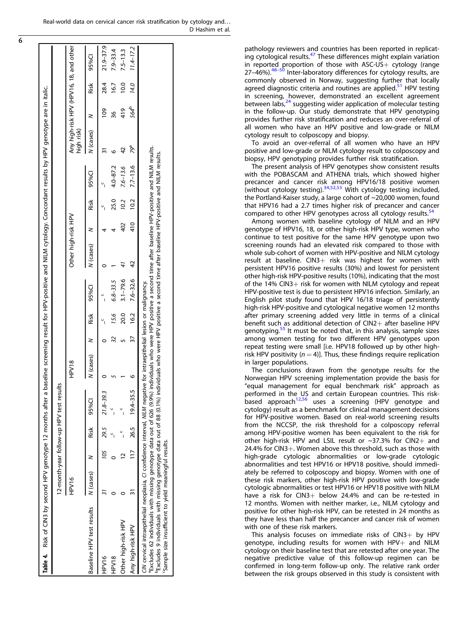Real-world data on cervical cancer risk stratification by cytology and. . . D Hashim et al.

> pathology reviewers and countries has been reported in replicat- $\frac{1}{2}$  ing cytological results.<sup>[47](#page-8-0)</sup> These differences might explain variation in reported proportion of those with  $ASC-US + cytoloq$  (range  $27-46\%$ ).<sup>48–[50](#page-8-0)</sup> Inter-laboratory differences for cytology results, are commonly observed in Norway, suggesting further that locally agreed diagnostic criteria and routines are applied. $51$  HPV testing in screening, however, demonstrated an excellent agreement<br>between labs,<sup>[24](#page-7-0)</sup> suggesting wider application of molecular testing in the follow-up. Our study demonstrate that HPV genotyping provides further risk stratification and reduces an over-referral of all women who have an HPV positive and low-grade or NILM cytology result to colposcopy and biopsy.

> To avoid an over-referral of all women who have an HPV positive and low-grade or NILM cytology result to colposcopy and biopsy, HPV genotyping provides further risk stratification.

> The present analysis of HPV genotypes show consistent results with the POBASCAM and ATHENA trials, which showed higher precancer and cancer risk among HPV16/18 positive women (without cytology testing).[34](#page-7-0)[,52](#page-8-0),[53](#page-8-0) With cytology testing included, the Portland-Kaiser study, a large cohort of ~20,000 women, found that HPV16 had a 2.7 times higher risk of precancer and cancer compared to other HPV genotypes across all cytology results. $54$

> Among women with baseline cytology of NILM and an HPV genotype of HPV16, 18, or other high-risk HPV type, women who continue to test positive for the same HPV genotype upon two screening rounds had an elevated risk compared to those with whole sub-cohort of women with HPV-positive and NILM cytology result at baseline. CIN3+ risk was highest for women with persistent HPV16 positive results (30%) and lowest for persistent other high-risk HPV-positive results (10%), indicating that the most of the 14% CIN3+ risk for women with NILM cytology and repeat HPV-positive test is due to persistent HPV16 infection. Similarly, an English pilot study found that HPV 16/18 triage of persistently high-risk HPV-positive and cytological negative women 12 months after primary screening added very little in terms of a clinical benefit such as additional detection of CIN2+ after baseline HPV genotyping.<sup>55</sup> It must be noted that, in this analysis, sample sizes among women testing for two different HPV genotypes upon repeat testing were small [i.e. HPV18 followed up by other highrisk HPV positivity ( $n = 4$ )]. Thus, these findings require replication in larger populations.

> The conclusions drawn from the genotype results for the Norwegian HPV screening implementation provide the basis for "equal management for equal benchmark risk" approach as performed in the US and certain European countries. This risk-based approach<sup>[12](#page-7-0)[,56](#page-8-0)</sup> uses a screening (HPV genotype and cytology) result as a benchmark for clinical management decisions for HPV-positive women. Based on real-world screening results from the NCCSP, the risk threshold for a colposcopy referral among HPV-positive women has been equivalent to the risk for other high-risk HPV and LSIL result or  $\sim$ 37.3% for CIN2+ and 24.4% for CIN3+. Women above this threshold, such as those with high-grade cytologic abnormalities or low-grade cytologic abnormalities and test HPV16 or HPV18 positive, should immediately be referred to colposcopy and biopsy. Women with one of these risk markers, other high-risk HPV positive with low-grade cytologic abnormalities or test HPV16 or HPV18 positive with NILM have a risk for  $CIN3+$  below 24.4% and can be re-tested in 12 months. Women with neither marker, i.e., NILM cytology and positive for other high-risk HPV, can be retested in 24 months as they have less than half the precancer and cancer risk of women with one of these risk markers.

> This analysis focuses on immediate risks of  $CIN3+$  by HPV genotype, including results for women with  $HPV+$  and NILM cytology on their baseline test that are retested after one year. The negative predictive value of this follow-up regimen can be confirmed in long-term follow-up only. The relative rank order between the risk groups observed in this study is consistent with

|                                                                                                                                                                                                                                                                                                                                                                                                                                            |             |     |      | 12-month-year follow-up HPV test results |           |    |      |                     |                                                                                               |     |      |                         |            |                  |      |                                         |
|--------------------------------------------------------------------------------------------------------------------------------------------------------------------------------------------------------------------------------------------------------------------------------------------------------------------------------------------------------------------------------------------------------------------------------------------|-------------|-----|------|------------------------------------------|-----------|----|------|---------------------|-----------------------------------------------------------------------------------------------|-----|------|-------------------------|------------|------------------|------|-----------------------------------------|
|                                                                                                                                                                                                                                                                                                                                                                                                                                            | <b>PV16</b> |     |      |                                          | HPV18     |    |      |                     | Other high-risk HPV                                                                           |     |      |                         | high risk) |                  |      | Any high-risk HPV (HPV16, 18, and other |
| Baseline HPV test results                                                                                                                                                                                                                                                                                                                                                                                                                  | N (cases)   |     | Risk | 95%CI                                    | N (cases) | z  | Risk | 95%CI               | N (cases)                                                                                     | ⋜   | Risk | 95%CI                   | N (cases)  | 3                | Risk | 95%CI                                   |
| PV16                                                                                                                                                                                                                                                                                                                                                                                                                                       |             | 105 |      | $29.5$ $21.8-39.3$                       |           |    |      |                     |                                                                                               |     |      |                         |            | $\frac{8}{2}$    | 28.4 | 21.9-37.9                               |
| HPV18                                                                                                                                                                                                                                                                                                                                                                                                                                      |             |     |      |                                          |           |    | 15.6 | 6.8-33.5            |                                                                                               |     | 25.0 | $4.0 - 87.2$            |            | 36               | 16.7 | $7.9 - 33.4$                            |
| Other high-risk HPV                                                                                                                                                                                                                                                                                                                                                                                                                        |             |     |      |                                          |           |    | 20.0 | $3.1 - 79.6$        |                                                                                               | 402 | 10.2 | $7.6 - 13.6$            |            | 419              | 10.0 | $7.5 - 13.3$                            |
| Any high-risk HPV                                                                                                                                                                                                                                                                                                                                                                                                                          |             |     |      | $117$ 26.5 $19.4 - 35.5$                 |           | 57 |      | $16.2$ $7.6 - 32.6$ | 42                                                                                            |     |      | $410$ $10.2$ $7.7-13.6$ | 79ª        | 564 <sup>b</sup> | 14.0 | $11.4 - 17.2$                           |
| "Excludes 9 individuals with missing genotype data out of 88 (0.1%) individuals who were HPV positive a second time after baseline HPV-positive and NILM results.<br>CIN cervical intraepithelial neoplasia, CI confidence interval, NILM negative for intraepithelial lesion or malignancy.<br><sup>a</sup> Excludes 62 individuals with missing genotype data out of 626 (9.9%)<br>Sample size insufficient to yield meaningful results. |             |     |      |                                          |           |    |      |                     | individuals who were HPV positive a second time after baseline HPV-positive and NILM results. |     |      |                         |            |                  |      |                                         |

<span id="page-5-0"></span> $\overline{6}$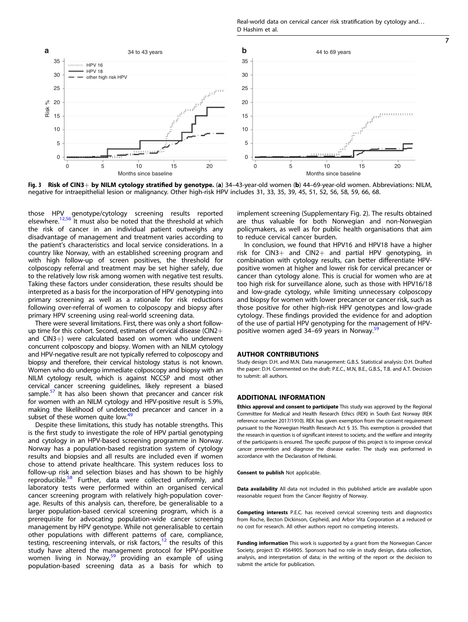Real-world data on cervical cancer risk stratification by cytology and. . . D Hashim et al.

7

<span id="page-6-0"></span>

Fig. 3 Risk of CIN3+ by NILM cytology stratified by genotype. (a) 34-43-year-old women (b) 44-69-year-old women. Abbreviations: NILM, negative for intraepithelial lesion or malignancy. Other high-risk HPV includes 31, 33, 35, 39, 45, 51, 52, 56, 58, 59, 66, 68.

those HPV genotype/cytology screening results reported elsewhere.<sup>[12](#page-7-0),[56](#page-8-0)</sup> It must also be noted that the threshold at which the risk of cancer in an individual patient outweighs any disadvantage of management and treatment varies according to the patient's characteristics and local service considerations. In a country like Norway, with an established screening program and with high follow-up of screen positives, the threshold for colposcopy referral and treatment may be set higher safely, due to the relatively low risk among women with negative test results. Taking these factors under consideration, these results should be interpreted as a basis for the incorporation of HPV genotyping into primary screening as well as a rationale for risk reductions following over-referral of women to colposcopy and biopsy after primary HPV screening using real-world screening data.

There were several limitations. First, there was only a short followup time for this cohort. Second, estimates of cervical disease (CIN2+ and CIN3+) were calculated based on women who underwent concurrent colposcopy and biopsy. Women with an NILM cytology and HPV-negative result are not typically referred to colposcopy and biopsy and therefore, their cervical histology status is not known. Women who do undergo immediate colposcopy and biopsy with an NILM cytology result, which is against NCCSP and most other cervical cancer screening guidelines, likely represent a biased sample.<sup>[57](#page-8-0)</sup> It has also been shown that precancer and cancer risk for women with an NILM cytology and HPV-positive result is 5.9%, making the likelihood of undetected precancer and cancer in a subset of these women quite low. $49$ 

Despite these limitations, this study has notable strengths. This is the first study to investigate the role of HPV partial genotyping and cytology in an HPV-based screening programme in Norway. Norway has a population-based registration system of cytology results and biopsies and all results are included even if women chose to attend private healthcare. This system reduces loss to follow-up risk and selection biases and has shown to be highly reproducible.<sup>[58](#page-8-0)</sup> Further, data were collected uniformly, and laboratory tests were performed within an organised cervical cancer screening program with relatively high-population coverage. Results of this analysis can, therefore, be generalisable to a larger population-based cervical screening program, which is a prerequisite for advocating population-wide cancer screening management by HPV genotype. While not generalisable to certain other populations with different patterns of care, compliance, testing, rescreening intervals, or risk factors,<sup>[12](#page-7-0)</sup> the results of this study have altered the management protocol for HPV-positive women living in Norway, $59$  providing an example of using population-based screening data as a basis for which to implement screening (Supplementary Fig. 2). The results obtained are thus valuable for both Norwegian and non-Norwegian policymakers, as well as for public health organisations that aim to reduce cervical cancer burden.

In conclusion, we found that HPV16 and HPV18 have a higher risk for CIN3+ and CIN2+ and partial HPV genotyping, in combination with cytology results, can better differentiate HPVpositive women at higher and lower risk for cervical precancer or cancer than cytology alone. This is crucial for women who are at too high risk for surveillance alone, such as those with HPV16/18 and low-grade cytology, while limiting unnecessary colposcopy and biopsy for women with lower precancer or cancer risk, such as those positive for other high-risk HPV genotypes and low-grade cytology. These findings provided the evidence for and adoption of the use of partial HPV genotyping for the management of HPV-positive women aged 34–69 years in Norway.<sup>[59](#page-8-0)</sup>

#### AUTHOR CONTRIBUTIONS

Study design: D.H. and M.N. Data management: G.B.S. Statistical analysis: D.H. Drafted the paper: D.H. Commented on the draft: P.E.C., M.N, B.E., G.B.S., T.B. and A.T. Decision to submit: all authors.

#### ADDITIONAL INFORMATION

Ethics approval and consent to participate This study was approved by the Regional Committee for Medical and Health Research Ethics (REK) in South East Norway (REK reference number 2017/1910). REK has given exemption from the consent requirement pursuant to the Norwegian Health Research Act § 35. This exemption is provided that the research in question is of significant interest to society, and the welfare and integrity of the participants is ensured. The specific purpose of this project is to improve cervical cancer prevention and diagnose the disease earlier. The study was performed in accordance with the Declaration of Helsinki.

Consent to publish Not applicable.

Data availability All data not included in this published article are available upon reasonable request from the Cancer Registry of Norway.

Competing interests P.E.C. has received cervical screening tests and diagnostics from Roche, Becton Dickinson, Cepheid, and Arbor Vita Corporation at a reduced or no cost for research. All other authors report no competing interests.

Funding information This work is supported by a grant from the Norwegian Cancer Society, project ID: #564905. Sponsors had no role in study design, data collection, analysis, and interpretation of data; in the writing of the report or the decision to submit the article for publication.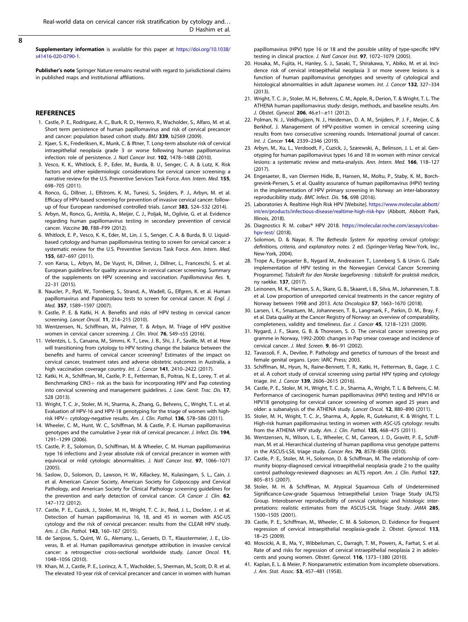<span id="page-7-0"></span>Supplementary information is available for this paper at [https://doi.org/10.1038/](https://doi.org/10.1038/s41416-020-0790-1) [s41416-020-0790-1.](https://doi.org/10.1038/s41416-020-0790-1)

Publisher's note Springer Nature remains neutral with regard to jurisdictional claims in published maps and institutional affiliations.

#### **REFERENCES**

- 1. Castle, P. E., Rodriguez, A. C., Burk, R. D., Herrero, R., Wacholder, S., Alfaro, M. et al. Short term persistence of human papillomavirus and risk of cervical precancer and cancer: population based cohort study. BMJ 339, b2569 (2009).
- 2. Kjaer, S. K., Frederiksen, K., Munk, C. & Iftner, T. Long-term absolute risk of cervical intraepithelial neoplasia grade 3 or worse following human papillomavirus infection: role of persistence. J. Natl Cancer Inst. 102, 1478-1488 (2010).
- 3. Vesco, K. K., Whitlock, E. P., Eder, M., Burda, B. U., Senger, C. A. & Lutz, K. Risk factors and other epidemiologic considerations for cervical cancer screening: a narrative review for the U.S. Preventive Services Task Force. Ann. Intern. Med. 155, 698–705 (2011).
- 4. Ronco, G., Dillner, J., Elfstrom, K. M., Tunesi, S., Snijders, P. J., Arbyn, M. et al. Efficacy of HPV-based screening for prevention of invasive cervical cancer: followup of four European randomised controlled trials. Lancet 383, 524-532 (2014).
- 5. Arbyn, M., Ronco, G., Anttila, A., Meijer, C. J., Poljak, M., Ogilvie, G. et al. Evidence regarding human papillomavirus testing in secondary prevention of cervical cancer. Vaccine 30, F88–F99 (2012).
- 6. Whitlock, E. P., Vesco, K. K., Eder, M., Lin, J. S., Senger, C. A. & Burda, B. U. Liquidbased cytology and human papillomavirus testing to screen for cervical cancer: a systematic review for the U.S. Preventive Services Task Force. Ann. Intern. Med. 155, 687–697 (2011).
- 7. von Karsa, L., Arbyn, M., De Vuyst, H., Dillner, J., Dillner, L., Franceschi, S. et al. European guidelines for quality assurance in cervical cancer screening. Summary of the supplements on HPV screening and vaccination. Papillomavirus Res. 1, 22–31 (2015).
- 8. Naucler, P., Ryd, W., Tornberg, S., Strand, A., Wadell, G., Elfgren, K. et al. Human papillomavirus and Papanicolaou tests to screen for cervical cancer. N. Engl. J. Med. 357, 1589–1597 (2007).
- 9. Castle, P. E. & Katki, H. A. Benefits and risks of HPV testing in cervical cancer screening. Lancet Oncol. 11, 214–215 (2010).
- 10. Wentzensen, N., Schiffman, M., Palmer, T. & Arbyn, M. Triage of HPV positive women in cervical cancer screening. J. Clin. Virol. 76, S49-s55 (2016).
- 11. Velentzis, L. S., Caruana, M., Simms, K. T., Lew, J. B., Shi, J. F., Saville, M. et al. How will transitioning from cytology to HPV testing change the balance between the benefits and harms of cervical cancer screening? Estimates of the impact on cervical cancer, treatment rates and adverse obstetric outcomes in Australia, a high vaccination coverage country. Int. J. Cancer 141, 2410-2422 (2017).
- 12. Katki, H. A., Schiffman, M., Castle, P. E., Fetterman, B., Poitras, N. E., Lorey, T. et al. Benchmarking CIN3+ risk as the basis for incorporating HPV and Pap cotesting into cervical screening and management guidelines. J. Low. Genit. Trac. Dis. 17, S28 (2013).
- 13. Wright, T. C. Jr., Stoler, M. H., Sharma, A., Zhang, G., Behrens, C., Wright, T. L. et al. Evaluation of HPV-16 and HPV-18 genotyping for the triage of women with highrisk HPV+ cytology-negative results. Am. J. Clin. Pathol. 136, 578-586 (2011).
- 14. Wheeler, C. M., Hunt, W. C., Schiffman, M. & Castle, P. E. Human papillomavirus genotypes and the cumulative 2-year risk of cervical precancer. J. Infect. Dis. 194, 1291–1299 (2006).
- 15. Castle, P. E., Solomon, D., Schiffman, M. & Wheeler, C. M. Human papillomavirus type 16 infections and 2-year absolute risk of cervical precancer in women with equivocal or mild cytologic abnormalities. J. Natl Cancer Inst. 97, 1066-1071 (2005).
- 16. Saslow, D., Solomon, D., Lawson, H. W., Killackey, M., Kulasingam, S. L., Cain, J. et al. American Cancer Society, American Society for Colposcopy and Cervical Pathology, and American Society for Clinical Pathology screening guidelines for the prevention and early detection of cervical cancer. CA Cancer J. Clin. 62, 147–172 (2012).
- 17. Castle, P. E., Cuzick, J., Stoler, M. H., Wright, T. C. Jr., Reid, J. L., Dockter, J. et al. Detection of human papillomavirus 16, 18, and 45 in women with ASC-US cytology and the risk of cervical precancer: results from the CLEAR HPV study. Am. J. Clin. Pathol. 143, 160–167 (2015).
- 18. de Sanjose, S., Quint, W. G., Alemany, L., Geraets, D. T., Klaustermeier, J. E., Lloveras, B. et al. Human papillomavirus genotype attribution in invasive cervical cancer: a retrospective cross-sectional worldwide study. Lancet Oncol. 11, 1048–1056 (2010).
- 19. Khan, M. J., Castle, P. E., Lorincz, A. T., Wacholder, S., Sherman, M., Scott, D. R. et al. The elevated 10-year risk of cervical precancer and cancer in women with human

papillomavirus (HPV) type 16 or 18 and the possible utility of type-specific HPV testing in clinical practice. J. Natl Cancer Inst. 97, 1072–1079 (2005).

- 20. Hosaka, M., Fujita, H., Hanley, S. J., Sasaki, T., Shirakawa, Y., Abiko, M. et al. Incidence risk of cervical intraepithelial neoplasia 3 or more severe lesions is a function of human papillomavirus genotypes and severity of cytological and histological abnormalities in adult Japanese women. Int. J. Cancer 132, 327-334 (2013).
- 21. Wright, T. C. Jr., Stoler, M. H., Behrens, C. M., Apple, R., Derion, T. & Wright, T. L. The ATHENA human papillomavirus study: design, methods, and baseline results. Am. J. Obstet. Gynecol. 206, 46.e1–.e11 (2012).
- 22. Polman, N. J., Veldhuijzen, N. J., Heideman, D. A. M., Snijders, P. J. F., Meijer, C. & Berkhof, J. Management of HPV-positive women in cervical screening using results from two consecutive screening rounds. International journal of cancer. Int. J. Cancer 144, 2339-2346 (2019).
- 23. Arbyn, M., Xu, L., Verdoodt, F., Cuzick, J., Szarewski, A., Belinson, J. L. et al. Genotyping for human papillomavirus types 16 and 18 in women with minor cervical lesions: a systematic review and meta-analysis. Ann. Intern. Med. 166, 118–127  $(2017)$
- 24. Engesaeter, B., van Diermen Hidle, B., Hansen, M., Moltu, P., Staby, K. M., Borchgrevink-Persen, S. et al. Quality assurance of human papillomavirus (HPV) testing in the implementation of HPV primary screening in Norway: an inter-laboratory reproducibility study. BMC Infect. Dis. 16, 698 (2016).
- 25. Laboratories A. Realtime High Risk HPV [Website]. [https://www.molecular.abbott/](https://www.molecular.abbott/int/en/products/infectious-disease/realtime-high-risk-hpv) [int/en/products/infectious-disease/realtime-high-risk-hpv](https://www.molecular.abbott/int/en/products/infectious-disease/realtime-high-risk-hpv) (Abbott, Abbott Park, Illinois, 2018).
- 26. Diagnostics R. M. cobas® HPV 2018. [https://molecular.roche.com/assays/cobas](https://molecular.roche.com/assays/cobas-hpv-test/)[hpv-test/](https://molecular.roche.com/assays/cobas-hpv-test/) (2018).
- 27. Solomon, D. & Nayar, R. The Bethesda System for reporting cervical cytology: definitions, criteria, and explanatory notes. 2 ed. (Springer-Verlag New-York, Inc., New-York, 2004).
- 28. Trope A., Engesaeter B., Nygard M., Andreassen T., Lonnberg S. & Ursin G. [Safe implementation of HPV testing in the Norwegian Cervical Cancer Screening Programme]. Tidsskrift for den Norske laegeforening : tidsskrift for praktisk medicin, ny raekke. 137, (2017).
- 29. Leinonen, M. K., Hansen, S. A., Skare, G. B., Skaaret, I. B., Silva, M., Johannesen, T. B. et al. Low proportion of unreported cervical treatments in the cancer registry of Norway between 1998 and 2013. Acta Oncologica 57, 1663–1670 (2018).
- 30. Larsen, I. K., Smastuen, M., Johannesen, T. B., Langmark, F., Parkin, D. M., Bray, F. et al. Data quality at the Cancer Registry of Norway: an overview of comparability, completeness, validity and timeliness. Eur. J. Cancer 45, 1218–1231 (2009).
- 31. Nygard, J. F., Skare, G. B. & Thoresen, S. O. The cervical cancer screening programme in Norway, 1992-2000: changes in Pap smear coverage and incidence of cervical cancer. J. Med. Screen. 9, 86–91 (2002).
- 32. Tavassoli, F. A., Devilee, P. Pathology and genetics of tumours of the breast and female genital organs. Lyon: IARC Press; 2003.
- 33. Schiffman, M., Hyun, N., Raine-Bennett, T. R., Katki, H., Fetterman, B., Gage, J. C. et al. A cohort study of cervical screening using partial HPV typing and cytology triage. Int. J. Cancer 139, 2606–2615 (2016).
- 34. Castle, P. E., Stoler, M. H., Wright, T. C. Jr., Sharma, A., Wright, T. L. & Behrens, C. M. Performance of carcinogenic human papillomavirus (HPV) testing and HPV16 or HPV18 genotyping for cervical cancer screening of women aged 25 years and older: a subanalysis of the ATHENA study. Lancet Oncol. 12, 880–890 (2011).
- 35. Stoler, M. H., Wright, T. C. Jr., Sharma, A., Apple, R., Gutekunst, K. & Wright, T. L. High-risk human papillomavirus testing in women with ASC-US cytology: results from the ATHENA HPV study. Am. J. Clin. Pathol. 135, 468–475 (2011).
- 36. Wentzensen, N., Wilson, L. E., Wheeler, C. M., Carreon, J. D., Gravitt, P. E., Schiffman, M. et al. Hierarchical clustering of human papilloma virus genotype patterns in the ASCUS-LSIL triage study. Cancer Res. 70, 8578–8586 (2010).
- 37. Castle, P. E., Stoler, M. H., Solomon, D. & Schiffman, M. The relationship of community biopsy-diagnosed cervical intraepithelial neoplasia grade 2 to the quality control pathology-reviewed diagnoses: an ALTS report. Am. J. Clin. Pathol. 127, 805–815 (2007).
- 38. Stoler, M. H. & Schiffman, M. Atypical Squamous Cells of Undetermined Significance-Low-grade Squamous Intraepithelial Lesion Triage Study (ALTS) Group. Interobserver reproducibility of cervical cytologic and histologic interpretations: realistic estimates from the ASCUS-LSIL Triage Study. JAMA 285, 1500–1505 (2001).
- 39. Castle, P. E., Schiffman, M., Wheeler, C. M. & Solomon, D. Evidence for frequent regression of cervical intraepithelial neoplasia-grade 2. Obstet. Gynecol. 113, 18–25 (2009).
- 40. Moscicki, A. B., Ma, Y., Wibbelsman, C., Darragh, T. M., Powers, A., Farhat, S. et al. Rate of and risks for regression of cervical intraepithelial neoplasia 2 in adolescents and young women. Obstet. Gynecol. 116, 1373–1380 (2010).
- 41. Kaplan, E. L. & Meier, P. Nonparametric estimation from incomplete observations. J. Am. Stat. Assoc. 53, 457–481 (1958).